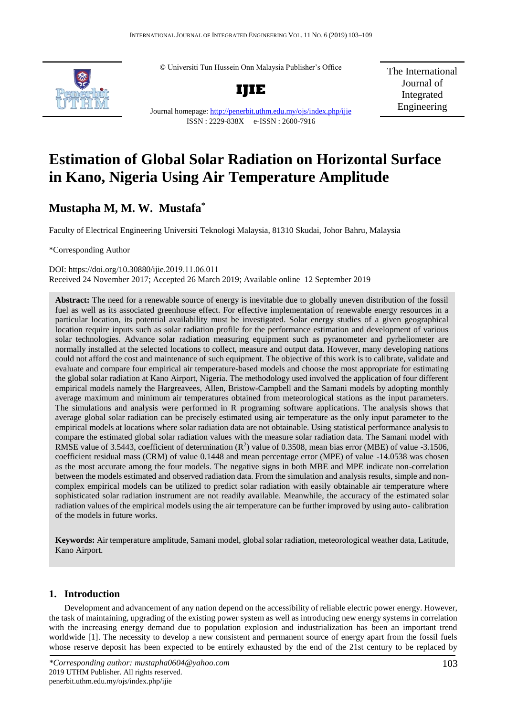© Universiti Tun Hussein Onn Malaysia Publisher's Office



**IJIE**

The International Journal of Integrated Engineering

Journal homepage:<http://penerbit.uthm.edu.my/ojs/index.php/ijie> ISSN : 2229-838X e-ISSN : 2600-7916

# **Estimation of Global Solar Radiation on Horizontal Surface in Kano, Nigeria Using Air Temperature Amplitude**

## **Mustapha M, M. W. Mustafa\***

Faculty of Electrical Engineering Universiti Teknologi Malaysia, 81310 Skudai, Johor Bahru, Malaysia

\*Corresponding Author

DOI: https://doi.org/10.30880/ijie.2019.11.06.011 Received 24 November 2017; Accepted 26 March 2019; Available online 12 September 2019

Abstract: The need for a renewable source of energy is inevitable due to globally uneven distribution of the fossil fuel as well as its associated greenhouse effect. For effective implementation of renewable energy resources in a particular location, its potential availability must be investigated. Solar energy studies of a given geographical location require inputs such as solar radiation profile for the performance estimation and development of various solar technologies. Advance solar radiation measuring equipment such as pyranometer and pyrheliometer are normally installed at the selected locations to collect, measure and output data. However, many developing nations could not afford the cost and maintenance of such equipment. The objective of this work is to calibrate, validate and evaluate and compare four empirical air temperature-based models and choose the most appropriate for estimating the global solar radiation at Kano Airport, Nigeria. The methodology used involved the application of four different empirical models namely the Hargreavees, Allen, Bristow-Campbell and the Samani models by adopting monthly average maximum and minimum air temperatures obtained from meteorological stations as the input parameters. The simulations and analysis were performed in R programing software applications. The analysis shows that average global solar radiation can be precisely estimated using air temperature as the only input parameter to the empirical models at locations where solar radiation data are not obtainable. Using statistical performance analysis to compare the estimated global solar radiation values with the measure solar radiation data. The Samani model with RMSE value of 3.5443, coefficient of determination  $(R^2)$  value of 0.3508, mean bias error (MBE) of value -3.1506, coefficient residual mass (CRM) of value 0.1448 and mean percentage error (MPE) of value -14.0538 was chosen as the most accurate among the four models. The negative signs in both MBE and MPE indicate non-correlation between the models estimated and observed radiation data. From the simulation and analysis results, simple and noncomplex empirical models can be utilized to predict solar radiation with easily obtainable air temperature where sophisticated solar radiation instrument are not readily available. Meanwhile, the accuracy of the estimated solar radiation values of the empirical models using the air temperature can be further improved by using auto- calibration of the models in future works.

**Keywords:** Air temperature amplitude, Samani model, global solar radiation, meteorological weather data, Latitude, Kano Airport.

## **1. Introduction**

Development and advancement of any nation depend on the accessibility of reliable electric power energy. However, the task of maintaining, upgrading of the existing power system as well as introducing new energy systems in correlation with the increasing energy demand due to population explosion and industrialization has been an important trend worldwide [1]. The necessity to develop a new consistent and permanent source of energy apart from the fossil fuels whose reserve deposit has been expected to be entirely exhausted by the end of the 21st century to be replaced by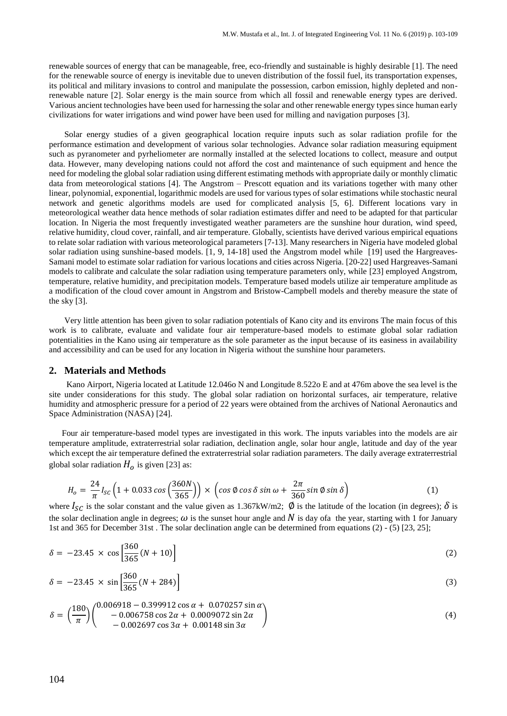renewable sources of energy that can be manageable, free, eco-friendly and sustainable is highly desirable [1]. The need for the renewable source of energy is inevitable due to uneven distribution of the fossil fuel, its transportation expenses, its political and military invasions to control and manipulate the possession, carbon emission, highly depleted and nonrenewable nature [2]. Solar energy is the main source from which all fossil and renewable energy types are derived. Various ancient technologies have been used for harnessing the solar and other renewable energy types since human early civilizations for water irrigations and wind power have been used for milling and navigation purposes [3].

Solar energy studies of a given geographical location require inputs such as solar radiation profile for the performance estimation and development of various solar technologies. Advance solar radiation measuring equipment such as pyranometer and pyrheliometer are normally installed at the selected locations to collect, measure and output data. However, many developing nations could not afford the cost and maintenance of such equipment and hence the need for modeling the global solar radiation using different estimating methods with appropriate daily or monthly climatic data from meteorological stations [4]. The Angstrom – Prescott equation and its variations together with many other linear, polynomial, exponential, logarithmic models are used for various types of solar estimations while stochastic neural network and genetic algorithms models are used for complicated analysis [5, 6]. Different locations vary in meteorological weather data hence methods of solar radiation estimates differ and need to be adapted for that particular location. In Nigeria the most frequently investigated weather parameters are the sunshine hour duration, wind speed, relative humidity, cloud cover, rainfall, and air temperature. Globally, scientists have derived various empirical equations to relate solar radiation with various meteorological parameters [7-13]. Many researchers in Nigeria have modeled global solar radiation using sunshine-based models. [1, 9, 14-18] used the Angstrom model while [19] used the Hargreaves-Samani model to estimate solar radiation for various locations and cities across Nigeria. [20-22] used Hargreaves-Samani models to calibrate and calculate the solar radiation using temperature parameters only, while [23] employed Angstrom, temperature, relative humidity, and precipitation models. Temperature based models utilize air temperature amplitude as a modification of the cloud cover amount in Angstrom and Bristow-Campbell models and thereby measure the state of the sky [3].

Very little attention has been given to solar radiation potentials of Kano city and its environs The main focus of this work is to calibrate, evaluate and validate four air temperature-based models to estimate global solar radiation potentialities in the Kano using air temperature as the sole parameter as the input because of its easiness in availability and accessibility and can be used for any location in Nigeria without the sunshine hour parameters.

#### **2. Materials and Methods**

Kano Airport, Nigeria located at Latitude 12.046o N and Longitude 8.522o E and at 476m above the sea level is the site under considerations for this study. The global solar radiation on horizontal surfaces, air temperature, relative humidity and atmospheric pressure for a period of 22 years were obtained from the archives of National Aeronautics and Space Administration (NASA) [24].

 Four air temperature-based model types are investigated in this work. The inputs variables into the models are air temperature amplitude, extraterrestrial solar radiation, declination angle, solar hour angle, latitude and day of the year which except the air temperature defined the extraterrestrial solar radiation parameters. The daily average extraterrestrial global solar radiation  $H_0$  is given [23] as:

$$
H_o = \frac{24}{\pi} I_{SC} \left( 1 + 0.033 \cos \left( \frac{360N}{365} \right) \right) \times \left( \cos \phi \cos \delta \sin \omega + \frac{2\pi}{360} \sin \phi \sin \delta \right)
$$
 (1)

where  $I_{SC}$  is the solar constant and the value given as 1.367kW/m2;  $\emptyset$  is the latitude of the location (in degrees);  $\delta$  is the solar declination angle in degrees;  $\omega$  is the sunset hour angle and N is day ofa the year, starting with 1 for January 1st and 365 for December 31st . The solar declination angle can be determined from equations (2) - (5) [23, 25];

$$
\delta = -23.45 \times \cos \left[ \frac{360}{365} (N + 10) \right] \tag{2}
$$

$$
\delta = -23.45 \times \sin \left[ \frac{360}{365} (N + 284) \right] \tag{3}
$$

$$
\delta = \left(\frac{180}{\pi}\right) \left(\begin{array}{c} 0.006918 - 0.399912 \cos \alpha + 0.070257 \sin \alpha \\ - 0.006758 \cos 2\alpha + 0.0009072 \sin 2\alpha \\ - 0.002697 \cos 3\alpha + 0.00148 \sin 3\alpha \end{array}\right) \tag{4}
$$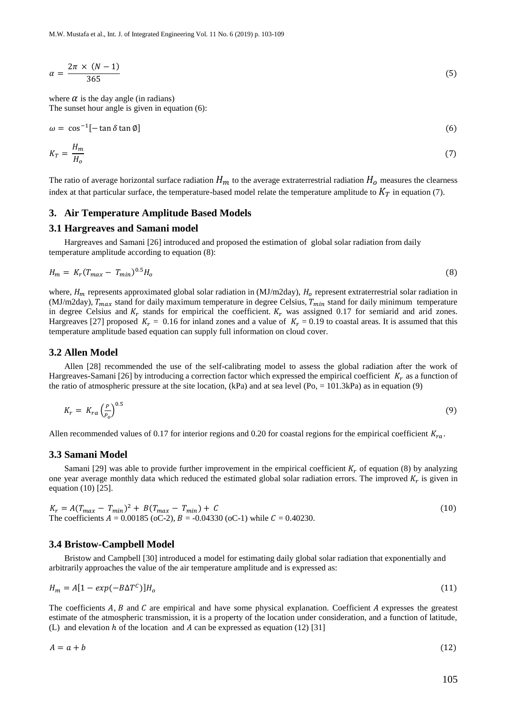$$
\alpha = \frac{2\pi \times (N-1)}{365} \tag{5}
$$

where  $\alpha$  is the day angle (in radians) The sunset hour angle is given in equation (6):

$$
\omega = \cos^{-1}[-\tan\delta\tan\emptyset]
$$
 (6)

$$
K_T = \frac{H_m}{H_o} \tag{7}
$$

The ratio of average horizontal surface radiation  $H_m$  to the average extraterrestrial radiation  $H_o$  measures the clearness index at that particular surface, the temperature-based model relate the temperature amplitude to  $K_T$  in equation (7).

### **3. Air Temperature Amplitude Based Models**

#### **3.1 Hargreaves and Samani model**

Hargreaves and Samani [26] introduced and proposed the estimation of global solar radiation from daily temperature amplitude according to equation (8):

$$
H_m = K_r (T_{max} - T_{min})^{0.5} H_o
$$
\n(8)

where,  $H_m$  represents approximated global solar radiation in (MJ/m2day),  $H_o$  represent extraterrestrial solar radiation in (MJ/m2day),  $T_{max}$  stand for daily maximum temperature in degree Celsius,  $T_{min}$  stand for daily minimum temperature in degree Celsius and  $K_r$  stands for empirical the coefficient.  $K_r$  was assigned 0.17 for semiarid and arid zones. Hargreaves [27] proposed  $K_r = 0.16$  for inland zones and a value of  $K_r = 0.19$  to coastal areas. It is assumed that this temperature amplitude based equation can supply full information on cloud cover.

#### **3.2 Allen Model**

Allen [28] recommended the use of the self-calibrating model to assess the global radiation after the work of Hargreaves-Samani [26] by introducing a correction factor which expressed the empirical coefficient  $K_r$  as a function of the ratio of atmospheric pressure at the site location,  $(kPa)$  and at sea level  $(Po, = 101.3kPa)$  as in equation (9)

$$
K_r = K_{ra} \left(\frac{P}{P_o}\right)^{0.5} \tag{9}
$$

Allen recommended values of 0.17 for interior regions and 0.20 for coastal regions for the empirical coefficient  $K_{ra}$ .

#### **3.3 Samani Model**

Samani [29] was able to provide further improvement in the empirical coefficient  $K_r$  of equation (8) by analyzing one year average monthly data which reduced the estimated global solar radiation errors. The improved  $K_r$  is given in equation (10) [25].

$$
K_r = A(T_{max} - T_{min})^2 + B(T_{max} - T_{min}) + C
$$
  
The coefficients  $A = 0.00185$  (oC-2),  $B = -0.04330$  (oC-1) while  $C = 0.40230$ . (10)

#### **3.4 Bristow-Campbell Model**

Bristow and Campbell [30] introduced a model for estimating daily global solar radiation that exponentially and arbitrarily approaches the value of the air temperature amplitude and is expressed as:

$$
H_m = A[1 - exp(-B\Delta T^c)]H_o \tag{11}
$$

The coefficients  $A$ ,  $B$  and  $C$  are empirical and have some physical explanation. Coefficient  $A$  expresses the greatest estimate of the atmospheric transmission, it is a property of the location under consideration, and a function of latitude, (L) and elevation  $h$  of the location and  $A$  can be expressed as equation (12) [31]

$$
A = a + b \tag{12}
$$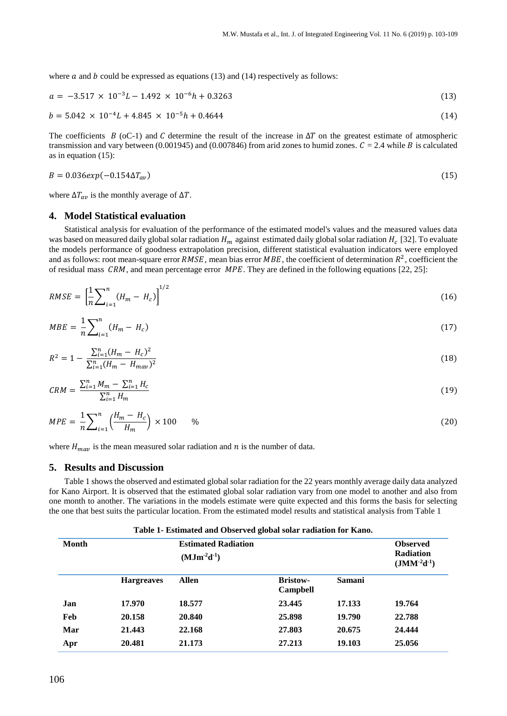where  $a$  and  $b$  could be expressed as equations (13) and (14) respectively as follows:

$$
a = -3.517 \times 10^{-3} L - 1.492 \times 10^{-6} h + 0.3263 \tag{13}
$$

$$
b = 5.042 \times 10^{-4}L + 4.845 \times 10^{-5}h + 0.4644
$$
 (14)

The coefficients  $B$  (oC-1) and C determine the result of the increase in  $\Delta T$  on the greatest estimate of atmospheric transmission and vary between (0.001945) and (0.007846) from arid zones to humid zones.  $C = 2.4$  while B is calculated as in equation (15):

$$
B = 0.036 \exp(-0.154 \Delta T_{av})
$$
\n(15)

where  $\Delta T_{av}$  is the monthly average of  $\Delta T$ .

#### **4. Model Statistical evaluation**

Statistical analysis for evaluation of the performance of the estimated model's values and the measured values data was based on measured daily global solar radiation  $H_m$  against estimated daily global solar radiation  $H_c$  [32]. To evaluate the models performance of goodness extrapolation precision, different statistical evaluation indicators were employed and as follows: root mean-square error RMSE, mean bias error MBE, the coefficient of determination  $R^2$ , coefficient the of residual mass  $\mathcal{C}RM$ , and mean percentage error  $\mathcal{MPE}$ . They are defined in the following equations [22, 25]:

$$
RMSE = \left[\frac{1}{n}\sum_{i=1}^{n} (H_m - H_c)\right]^{1/2} \tag{16}
$$

$$
MBE = \frac{1}{n} \sum_{i=1}^{n} (H_m - H_c)
$$
 (17)

$$
R^2 = 1 - \frac{\sum_{i=1}^{n} (H_m - H_c)^2}{\sum_{i=1}^{n} (H_m - H_{\text{max}})^2}
$$
(18)

$$
CRM = \frac{\sum_{i=1}^{n} M_m - \sum_{i=1}^{n} H_c}{\sum_{i=1}^{n} H_m}
$$
\n(19)

$$
MPE = \frac{1}{n} \sum_{i=1}^{n} \left( \frac{H_m - H_c}{H_m} \right) \times 100 \qquad \% \tag{20}
$$

where  $H_{\text{max}}$  is the mean measured solar radiation and *n* is the number of data.

#### **5. Results and Discussion**

Table 1 shows the observed and estimated global solar radiation for the 22 years monthly average daily data analyzed for Kano Airport. It is observed that the estimated global solar radiation vary from one model to another and also from one month to another. The variations in the models estimate were quite expected and this forms the basis for selecting the one that best suits the particular location. From the estimated model results and statistical analysis from Table 1

| Month |                   | <b>Estimated Radiation</b><br>$(MJm^2d^{-1})$ | <b>Observed</b><br><b>Radiation</b><br>$(JMM^{-2}d^{-1})$ |               |        |
|-------|-------------------|-----------------------------------------------|-----------------------------------------------------------|---------------|--------|
|       | <b>Hargreaves</b> | <b>Allen</b>                                  | <b>Bristow-</b><br>Campbell                               | <b>Samani</b> |        |
| Jan   | 17.970            | 18.577                                        | 23.445                                                    | 17.133        | 19.764 |
| Feb   | 20.158            | 20.840                                        | 25.898                                                    | 19.790        | 22.788 |
| Mar   | 21.443            | 22.168                                        | 27.803                                                    | 20.675        | 24.444 |
| Apr   | 20.481            | 21.173                                        | 27.213                                                    | 19.103        | 25.056 |

#### **Table 1- Estimated and Observed global solar radiation for Kano.**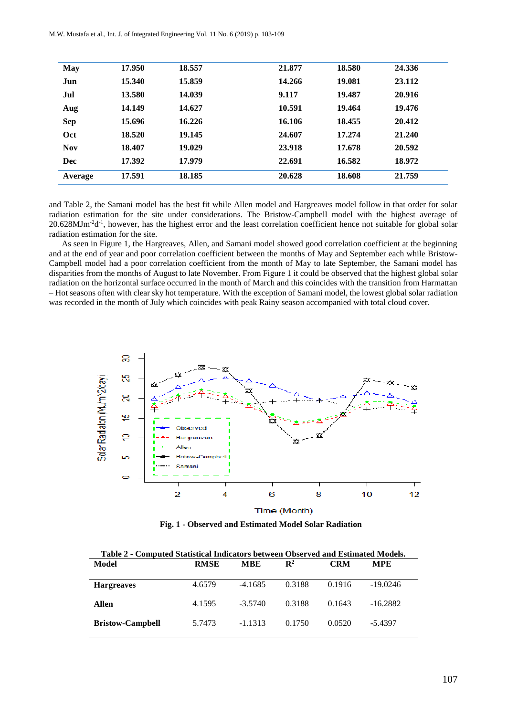| <b>May</b> | 17.950 | 18.557 | 21.877 | 18.580 | 24.336 |
|------------|--------|--------|--------|--------|--------|
| Jun        | 15.340 | 15.859 | 14.266 | 19.081 | 23.112 |
| Jul        | 13.580 | 14.039 | 9.117  | 19.487 | 20.916 |
| Aug        | 14.149 | 14.627 | 10.591 | 19.464 | 19.476 |
| <b>Sep</b> | 15.696 | 16.226 | 16.106 | 18.455 | 20.412 |
| Oct        | 18.520 | 19.145 | 24.607 | 17.274 | 21.240 |
| <b>Nov</b> | 18.407 | 19.029 | 23.918 | 17.678 | 20.592 |
| Dec        | 17.392 | 17.979 | 22.691 | 16.582 | 18.972 |
| Average    | 17.591 | 18.185 | 20.628 | 18.608 | 21.759 |

and Table 2, the Samani model has the best fit while Allen model and Hargreaves model follow in that order for solar radiation estimation for the site under considerations. The Bristow-Campbell model with the highest average of 20.628MJm<sup>-2</sup>d<sup>-1</sup>, however, has the highest error and the least correlation coefficient hence not suitable for global solar radiation estimation for the site.

 As seen in Figure 1, the Hargreaves, Allen, and Samani model showed good correlation coefficient at the beginning and at the end of year and poor correlation coefficient between the months of May and September each while Bristow-Campbell model had a poor correlation coefficient from the month of May to late September, the Samani model has disparities from the months of August to late November. From Figure 1 it could be observed that the highest global solar radiation on the horizontal surface occurred in the month of March and this coincides with the transition from Harmattan – Hot seasons often with clear sky hot temperature. With the exception of Samani model, the lowest global solar radiation was recorded in the month of July which coincides with peak Rainy season accompanied with total cloud cover.



**Fig. 1 - Observed and Estimated Model Solar Radiation**

| Table 2 - Computed Statistical Indicators between Observed and Estimated Models. |             |            |                |            |            |  |
|----------------------------------------------------------------------------------|-------------|------------|----------------|------------|------------|--|
| Model                                                                            | <b>RMSE</b> | <b>MBE</b> | $\mathbf{R}^2$ | <b>CRM</b> | <b>MPE</b> |  |
|                                                                                  |             |            |                |            |            |  |
| <b>Hargreaves</b>                                                                | 4.6579      | $-4.1685$  | 0.3188         | 0.1916     | $-19.0246$ |  |
|                                                                                  |             |            |                |            |            |  |
| Allen                                                                            | 4.1595      | $-3.5740$  | 0.3188         | 0.1643     | $-16.2882$ |  |
|                                                                                  | 5.7473      | $-1.1313$  | 0.1750         | 0.0520     | $-5.4397$  |  |
| <b>Bristow-Campbell</b>                                                          |             |            |                |            |            |  |
|                                                                                  |             |            |                |            |            |  |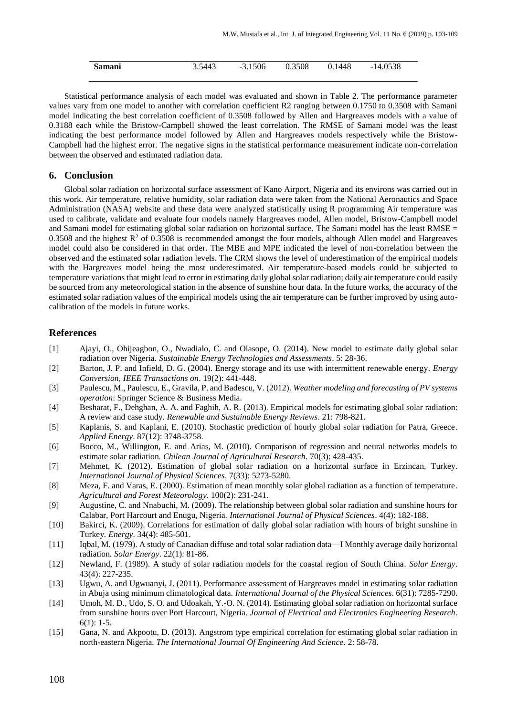| Samani | 3.5443 | $-3.1506$ | 0.3508 | 0.1448 | $-14.0538$ |
|--------|--------|-----------|--------|--------|------------|
|        |        |           |        |        |            |

Statistical performance analysis of each model was evaluated and shown in Table 2. The performance parameter values vary from one model to another with correlation coefficient R2 ranging between 0.1750 to 0.3508 with Samani model indicating the best correlation coefficient of 0.3508 followed by Allen and Hargreaves models with a value of 0.3188 each while the Bristow-Campbell showed the least correlation. The RMSE of Samani model was the least indicating the best performance model followed by Allen and Hargreaves models respectively while the Bristow-Campbell had the highest error. The negative signs in the statistical performance measurement indicate non-correlation between the observed and estimated radiation data.

#### **6. Conclusion**

Global solar radiation on horizontal surface assessment of Kano Airport, Nigeria and its environs was carried out in this work. Air temperature, relative humidity, solar radiation data were taken from the National Aeronautics and Space Administration (NASA) website and these data were analyzed statistically using R programming Air temperature was used to calibrate, validate and evaluate four models namely Hargreaves model, Allen model, Bristow-Campbell model and Samani model for estimating global solar radiation on horizontal surface. The Samani model has the least RMSE  $=$ 0.3508 and the highest  $R^2$  of 0.3508 is recommended amongst the four models, although Allen model and Hargreaves model could also be considered in that order. The MBE and MPE indicated the level of non-correlation between the observed and the estimated solar radiation levels. The CRM shows the level of underestimation of the empirical models with the Hargreaves model being the most underestimated. Air temperature-based models could be subjected to temperature variations that might lead to error in estimating daily global solar radiation; daily air temperature could easily be sourced from any meteorological station in the absence of sunshine hour data. In the future works, the accuracy of the estimated solar radiation values of the empirical models using the air temperature can be further improved by using autocalibration of the models in future works.

#### **References**

- [1] Ajayi, O., Ohijeagbon, O., Nwadialo, C. and Olasope, O. (2014). New model to estimate daily global solar radiation over Nigeria*. Sustainable Energy Technologies and Assessments*. 5: 28-36.
- [2] Barton, J. P. and Infield, D. G. (2004). Energy storage and its use with intermittent renewable energy*. Energy Conversion, IEEE Transactions on*. 19(2): 441-448.
- [3] Paulescu, M., Paulescu, E., Gravila, P. and Badescu, V. (2012). *Weather modeling and forecasting of PV systems operation*: Springer Science & Business Media.
- [4] Besharat, F., Dehghan, A. A. and Faghih, A. R. (2013). Empirical models for estimating global solar radiation: A review and case study*. Renewable and Sustainable Energy Reviews*. 21: 798-821.
- [5] Kaplanis, S. and Kaplani, E. (2010). Stochastic prediction of hourly global solar radiation for Patra, Greece*. Applied Energy*. 87(12): 3748-3758.
- [6] Bocco, M., Willington, E. and Arias, M. (2010). Comparison of regression and neural networks models to estimate solar radiation*. Chilean Journal of Agricultural Research*. 70(3): 428-435.
- [7] Mehmet, K. (2012). Estimation of global solar radiation on a horizontal surface in Erzincan, Turkey*. International Journal of Physical Sciences*. 7(33): 5273-5280.
- [8] Meza, F. and Varas, E. (2000). Estimation of mean monthly solar global radiation as a function of temperature*. Agricultural and Forest Meteorology*. 100(2): 231-241.
- [9] Augustine, C. and Nnabuchi, M. (2009). The relationship between global solar radiation and sunshine hours for Calabar, Port Harcourt and Enugu, Nigeria*. International Journal of Physical Sciences*. 4(4): 182-188.
- [10] Bakirci, K. (2009). Correlations for estimation of daily global solar radiation with hours of bright sunshine in Turkey*. Energy*. 34(4): 485-501.
- [11] Iqbal, M. (1979). A study of Canadian diffuse and total solar radiation data—I Monthly average daily horizontal radiation*. Solar Energy*. 22(1): 81-86.
- [12] Newland, F. (1989). A study of solar radiation models for the coastal region of South China*. Solar Energy*. 43(4): 227-235.
- [13] Ugwu, A. and Ugwuanyi, J. (2011). Performance assessment of Hargreaves model in estimating solar radiation in Abuja using minimum climatological data*. International Journal of the Physical Sciences*. 6(31): 7285-7290.
- [14] Umoh, M. D., Udo, S. O. and Udoakah, Y.-O. N. (2014). Estimating global solar radiation on horizontal surface from sunshine hours over Port Harcourt, Nigeria*. Journal of Electrical and Electronics Engineering Research*. 6(1): 1-5.
- [15] Gana, N. and Akpootu, D. (2013). Angstrom type empirical correlation for estimating global solar radiation in north-eastern Nigeria*. The International Journal Of Engineering And Science*. 2: 58-78.